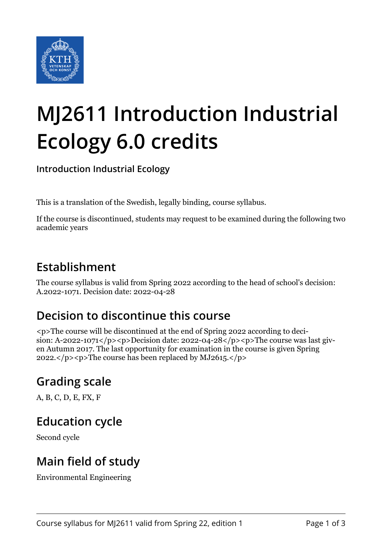

# **MJ2611 Introduction Industrial Ecology 6.0 credits**

**Introduction Industrial Ecology**

This is a translation of the Swedish, legally binding, course syllabus.

If the course is discontinued, students may request to be examined during the following two academic years

## **Establishment**

The course syllabus is valid from Spring 2022 according to the head of school's decision: A.2022-1071. Decision date: 2022-04-28

# **Decision to discontinue this course**

<p>The course will be discontinued at the end of Spring 2022 according to decision: A-2022-1071</p>>p>Decision date:  $2022-04-28$ </p>>> $\gamma$  > The course was last given Autumn 2017. The last opportunity for examination in the course is given Spring 2022. $\langle p \rangle$  =  $\langle p \rangle$ The course has been replaced by MJ2615. $\langle p \rangle$ 

# **Grading scale**

A, B, C, D, E, FX, F

### **Education cycle**

Second cycle

# **Main field of study**

Environmental Engineering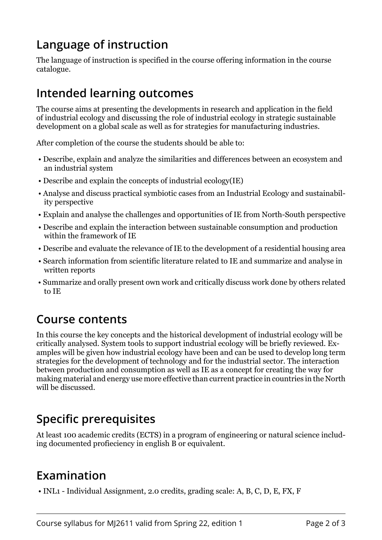# **Language of instruction**

The language of instruction is specified in the course offering information in the course catalogue.

#### **Intended learning outcomes**

The course aims at presenting the developments in research and application in the field of industrial ecology and discussing the role of industrial ecology in strategic sustainable development on a global scale as well as for strategies for manufacturing industries.

After completion of the course the students should be able to:

- Describe, explain and analyze the similarities and differences between an ecosystem and an industrial system
- Describe and explain the concepts of industrial ecology(IE)
- Analyse and discuss practical symbiotic cases from an Industrial Ecology and sustainability perspective
- Explain and analyse the challenges and opportunities of IE from North-South perspective
- Describe and explain the interaction between sustainable consumption and production within the framework of IE
- Describe and evaluate the relevance of IE to the development of a residential housing area
- Search information from scientific literature related to IE and summarize and analyse in written reports
- Summarize and orally present own work and critically discuss work done by others related to IE

#### **Course contents**

In this course the key concepts and the historical development of industrial ecology will be critically analysed. System tools to support industrial ecology will be briefly reviewed. Examples will be given how industrial ecology have been and can be used to develop long term strategies for the development of technology and for the industrial sector. The interaction between production and consumption as well as IE as a concept for creating the way for making material and energy use more effective than current practice in countries in the North will be discussed.

# **Specific prerequisites**

At least 100 academic credits (ECTS) in a program of engineering or natural science including documented profieciency in english B or equivalent.

#### **Examination**

• INL1 - Individual Assignment, 2.0 credits, grading scale: A, B, C, D, E, FX, F